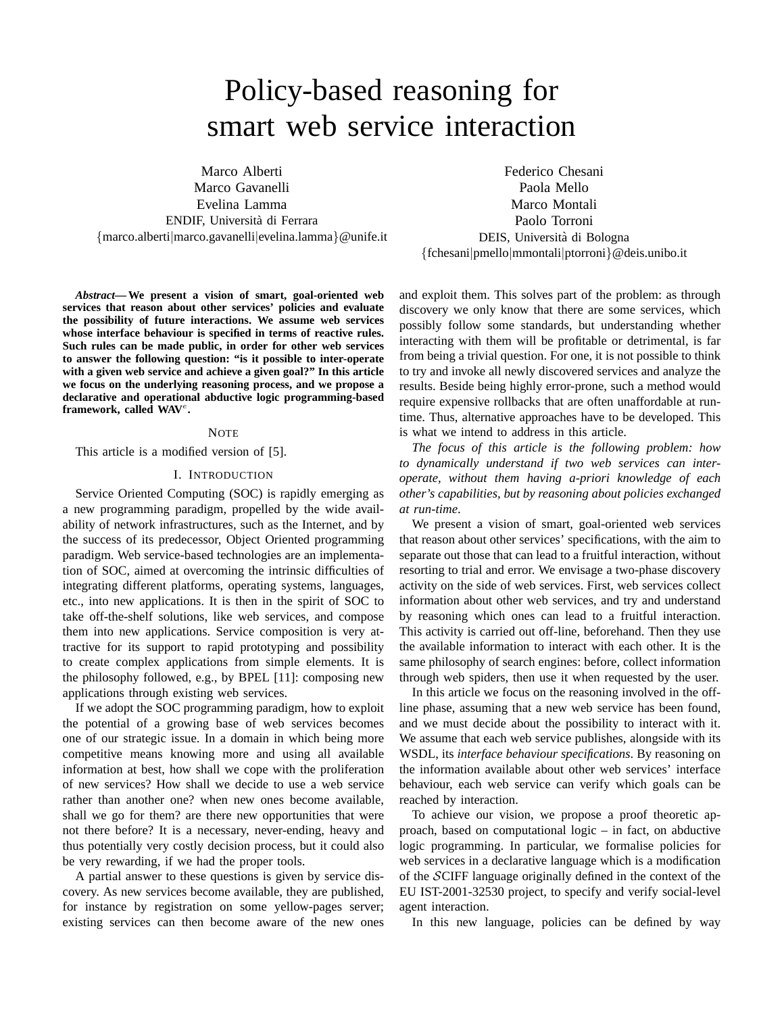# Policy-based reasoning for smart web service interaction

Marco Alberti Marco Gavanelli Evelina Lamma ENDIF, Universita di Ferrara ` {marco.alberti|marco.gavanelli|evelina.lamma}@unife.it

Federico Chesani Paola Mello Marco Montali Paolo Torroni DEIS, Universita di Bologna ` {fchesani|pmello|mmontali|ptorroni}@deis.unibo.it

*Abstract***— We present a vision of smart, goal-oriented web services that reason about other services' policies and evaluate the possibility of future interactions. We assume web services whose interface behaviour is specified in terms of reactive rules. Such rules can be made public, in order for other web services to answer the following question: "is it possible to inter-operate with a given web service and achieve a given goal?" In this article we focus on the underlying reasoning process, and we propose a declarative and operational abductive logic programming-based** framework, called WAV<sup>e</sup>.

## **NOTE**

This article is a modified version of [5].

#### I. INTRODUCTION

Service Oriented Computing (SOC) is rapidly emerging as a new programming paradigm, propelled by the wide availability of network infrastructures, such as the Internet, and by the success of its predecessor, Object Oriented programming paradigm. Web service-based technologies are an implementation of SOC, aimed at overcoming the intrinsic difficulties of integrating different platforms, operating systems, languages, etc., into new applications. It is then in the spirit of SOC to take off-the-shelf solutions, like web services, and compose them into new applications. Service composition is very attractive for its support to rapid prototyping and possibility to create complex applications from simple elements. It is the philosophy followed, e.g., by BPEL [11]: composing new applications through existing web services.

If we adopt the SOC programming paradigm, how to exploit the potential of a growing base of web services becomes one of our strategic issue. In a domain in which being more competitive means knowing more and using all available information at best, how shall we cope with the proliferation of new services? How shall we decide to use a web service rather than another one? when new ones become available, shall we go for them? are there new opportunities that were not there before? It is a necessary, never-ending, heavy and thus potentially very costly decision process, but it could also be very rewarding, if we had the proper tools.

A partial answer to these questions is given by service discovery. As new services become available, they are published, for instance by registration on some yellow-pages server; existing services can then become aware of the new ones and exploit them. This solves part of the problem: as through discovery we only know that there are some services, which possibly follow some standards, but understanding whether interacting with them will be profitable or detrimental, is far from being a trivial question. For one, it is not possible to think to try and invoke all newly discovered services and analyze the results. Beside being highly error-prone, such a method would require expensive rollbacks that are often unaffordable at runtime. Thus, alternative approaches have to be developed. This is what we intend to address in this article.

*The focus of this article is the following problem: how to dynamically understand if two web services can interoperate, without them having a-priori knowledge of each other's capabilities, but by reasoning about policies exchanged at run-time*.

We present a vision of smart, goal-oriented web services that reason about other services' specifications, with the aim to separate out those that can lead to a fruitful interaction, without resorting to trial and error. We envisage a two-phase discovery activity on the side of web services. First, web services collect information about other web services, and try and understand by reasoning which ones can lead to a fruitful interaction. This activity is carried out off-line, beforehand. Then they use the available information to interact with each other. It is the same philosophy of search engines: before, collect information through web spiders, then use it when requested by the user.

In this article we focus on the reasoning involved in the offline phase, assuming that a new web service has been found, and we must decide about the possibility to interact with it. We assume that each web service publishes, alongside with its WSDL, its *interface behaviour specifications*. By reasoning on the information available about other web services' interface behaviour, each web service can verify which goals can be reached by interaction.

To achieve our vision, we propose a proof theoretic approach, based on computational logic – in fact, on abductive logic programming. In particular, we formalise policies for web services in a declarative language which is a modification of the SCIFF language originally defined in the context of the EU IST-2001-32530 project, to specify and verify social-level agent interaction.

In this new language, policies can be defined by way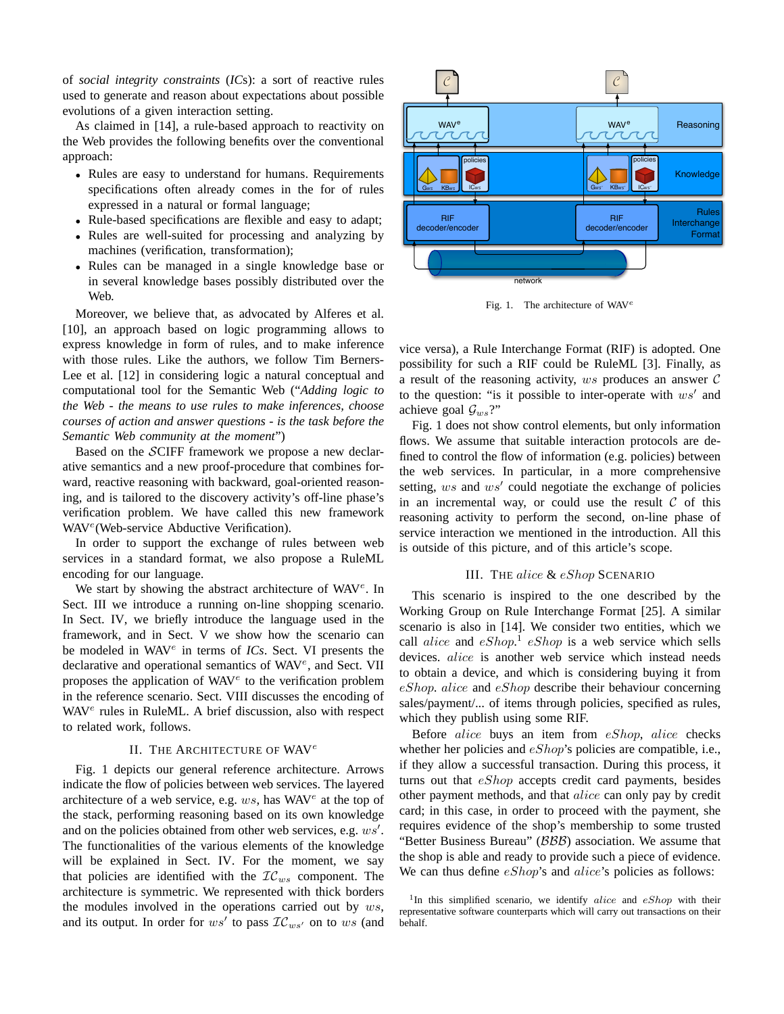of *social integrity constraints* (*IC*s): a sort of reactive rules used to generate and reason about expectations about possible evolutions of a given interaction setting.

As claimed in [14], a rule-based approach to reactivity on the Web provides the following benefits over the conventional approach:

- Rules are easy to understand for humans. Requirements specifications often already comes in the for of rules expressed in a natural or formal language;
- Rule-based specifications are flexible and easy to adapt;
- Rules are well-suited for processing and analyzing by machines (verification, transformation);
- Rules can be managed in a single knowledge base or in several knowledge bases possibly distributed over the Web.

Moreover, we believe that, as advocated by Alferes et al. [10], an approach based on logic programming allows to express knowledge in form of rules, and to make inference with those rules. Like the authors, we follow Tim Berners-Lee et al. [12] in considering logic a natural conceptual and computational tool for the Semantic Web ("*Adding logic to the Web - the means to use rules to make inferences, choose courses of action and answer questions - is the task before the Semantic Web community at the moment*")

Based on the SCIFF framework we propose a new declarative semantics and a new proof-procedure that combines forward, reactive reasoning with backward, goal-oriented reasoning, and is tailored to the discovery activity's off-line phase's verification problem. We have called this new framework WAV<sup>e</sup> (Web-service Abductive Verification).

In order to support the exchange of rules between web services in a standard format, we also propose a RuleML encoding for our language.

We start by showing the abstract architecture of WAV<sup>e</sup>. In Sect. III we introduce a running on-line shopping scenario. In Sect. IV, we briefly introduce the language used in the framework, and in Sect. V we show how the scenario can be modeled in WAV<sup>e</sup> in terms of *ICs*. Sect. VI presents the declarative and operational semantics of WAV<sup>e</sup>, and Sect. VII proposes the application of  $WAV<sup>e</sup>$  to the verification problem in the reference scenario. Sect. VIII discusses the encoding of WAV<sup>e</sup> rules in RuleML. A brief discussion, also with respect to related work, follows.

#### II. THE ARCHITECTURE OF WAV<sup>e</sup>

Fig. 1 depicts our general reference architecture. Arrows indicate the flow of policies between web services. The layered architecture of a web service, e.g.  $ws$ , has WAV $^e$  at the top of the stack, performing reasoning based on its own knowledge and on the policies obtained from other web services, e.g.  $ws'$ . The functionalities of the various elements of the knowledge will be explained in Sect. IV. For the moment, we say that policies are identified with the  $\mathcal{IC}_{ws}$  component. The architecture is symmetric. We represented with thick borders the modules involved in the operations carried out by  $ws$ , and its output. In order for  $ws'$  to pass  $\mathcal{IC}_{ws'}$  on to ws (and



Fig. 1. The architecture of WAV<sup>e</sup>

vice versa), a Rule Interchange Format (RIF) is adopted. One possibility for such a RIF could be RuleML [3]. Finally, as a result of the reasoning activity,  $ws$  produces an answer  $C$ to the question: "is it possible to inter-operate with  $ws'$  and achieve goal  $\mathcal{G}_{ws}$ ?"

Fig. 1 does not show control elements, but only information flows. We assume that suitable interaction protocols are defined to control the flow of information (e.g. policies) between the web services. In particular, in a more comprehensive setting,  $ws$  and  $ws'$  could negotiate the exchange of policies in an incremental way, or could use the result  $\mathcal C$  of this reasoning activity to perform the second, on-line phase of service interaction we mentioned in the introduction. All this is outside of this picture, and of this article's scope.

#### III. THE alice & eShop SCENARIO

This scenario is inspired to the one described by the Working Group on Rule Interchange Format [25]. A similar scenario is also in [14]. We consider two entities, which we call *alice* and  $eShop^1$   $eShop$  is a web service which sells devices. alice is another web service which instead needs to obtain a device, and which is considering buying it from eShop. alice and eShop describe their behaviour concerning sales/payment/... of items through policies, specified as rules, which they publish using some RIF.

Before alice buys an item from eShop, alice checks whether her policies and  $eShop$ 's policies are compatible, i.e., if they allow a successful transaction. During this process, it turns out that  $eShop$  accepts credit card payments, besides other payment methods, and that alice can only pay by credit card; in this case, in order to proceed with the payment, she requires evidence of the shop's membership to some trusted "Better Business Bureau" (BBB) association. We assume that the shop is able and ready to provide such a piece of evidence. We can thus define  $eShop$ 's and  $alice$ 's policies as follows:

<sup>&</sup>lt;sup>1</sup>In this simplified scenario, we identify alice and  $eShop$  with their representative software counterparts which will carry out transactions on their behalf.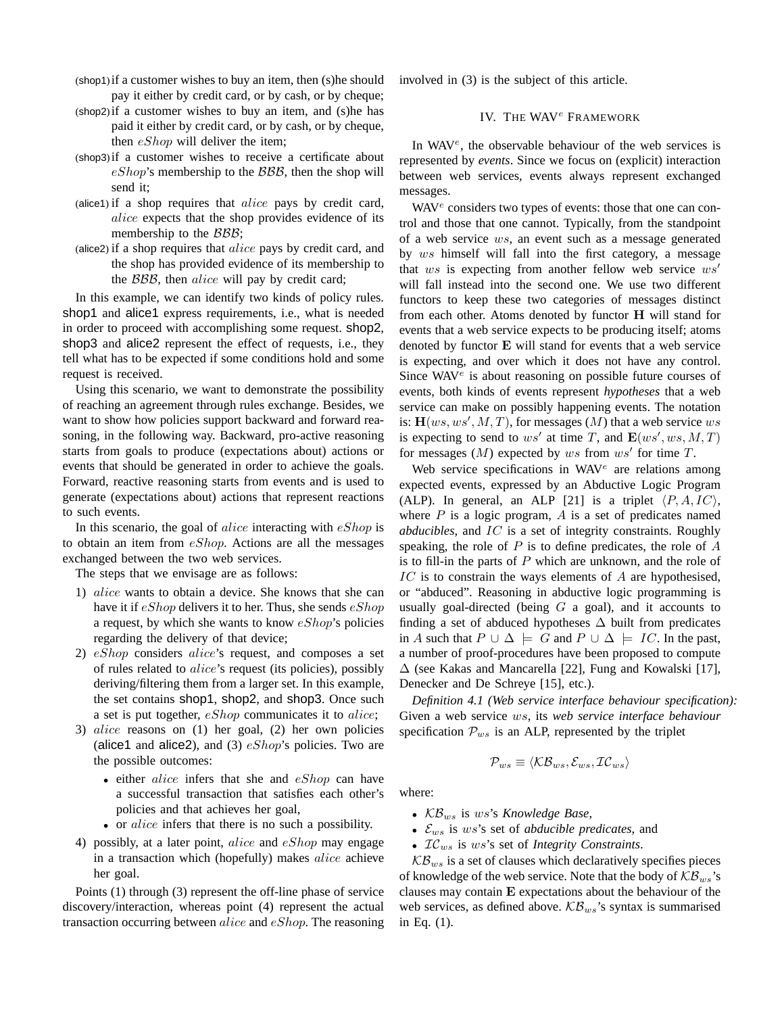- (shop1)if a customer wishes to buy an item, then (s)he should pay it either by credit card, or by cash, or by cheque;
- (shop2)if a customer wishes to buy an item, and (s)he has paid it either by credit card, or by cash, or by cheque, then *eShop* will deliver the item;
- (shop3)if a customer wishes to receive a certificate about  $eShop's$  membership to the  $BBB$ , then the shop will send it;
- (alice1) if a shop requires that  $alice$  pays by credit card, alice expects that the shop provides evidence of its membership to the  $\beta \beta \beta$ ;
- (alice2) if a shop requires that alice pays by credit card, and the shop has provided evidence of its membership to the *BBB*, then *alice* will pay by credit card;

In this example, we can identify two kinds of policy rules. shop1 and alice1 express requirements, i.e., what is needed in order to proceed with accomplishing some request. shop2, shop3 and alice2 represent the effect of requests, i.e., they tell what has to be expected if some conditions hold and some request is received.

Using this scenario, we want to demonstrate the possibility of reaching an agreement through rules exchange. Besides, we want to show how policies support backward and forward reasoning, in the following way. Backward, pro-active reasoning starts from goals to produce (expectations about) actions or events that should be generated in order to achieve the goals. Forward, reactive reasoning starts from events and is used to generate (expectations about) actions that represent reactions to such events.

In this scenario, the goal of *alice* interacting with  $eShop$  is to obtain an item from  $eShop$ . Actions are all the messages exchanged between the two web services.

The steps that we envisage are as follows:

- 1) alice wants to obtain a device. She knows that she can have it if  $eShop$  delivers it to her. Thus, she sends  $eShop$ a request, by which she wants to know  $eShop$ 's policies regarding the delivery of that device;
- 2) eShop considers alice's request, and composes a set of rules related to alice's request (its policies), possibly deriving/filtering them from a larger set. In this example, the set contains shop1, shop2, and shop3. Once such a set is put together, eShop communicates it to alice;
- 3) alice reasons on (1) her goal, (2) her own policies (alice1 and alice2), and (3)  $eShop's$  policies. Two are the possible outcomes:
	- either alice infers that she and eShop can have a successful transaction that satisfies each other's policies and that achieves her goal,
	- or *alice* infers that there is no such a possibility.
- 4) possibly, at a later point,  $alice$  and  $eShop$  may engage in a transaction which (hopefully) makes alice achieve her goal.

Points (1) through (3) represent the off-line phase of service discovery/interaction, whereas point (4) represent the actual transaction occurring between alice and eShop. The reasoning involved in (3) is the subject of this article.

## IV. THE WAV<sup>e</sup> FRAMEWORK

In WAV<sup>e</sup>, the observable behaviour of the web services is represented by *events*. Since we focus on (explicit) interaction between web services, events always represent exchanged messages.

WAV<sup>e</sup> considers two types of events: those that one can control and those that one cannot. Typically, from the standpoint of a web service ws, an event such as a message generated by ws himself will fall into the first category, a message that ws is expecting from another fellow web service  $ws'$ will fall instead into the second one. We use two different functors to keep these two categories of messages distinct from each other. Atoms denoted by functor H will stand for events that a web service expects to be producing itself; atoms denoted by functor E will stand for events that a web service is expecting, and over which it does not have any control. Since WAV<sup>e</sup> is about reasoning on possible future courses of events, both kinds of events represent *hypotheses* that a web service can make on possibly happening events. The notation is:  $H(ws, ws', M, T)$ , for messages  $(M)$  that a web service ws is expecting to send to  $ws'$  at time T, and  $\mathbf{E}(ws',ws,M,T)$ for messages  $(M)$  expected by ws from ws' for time T.

Web service specifications in WAV<sup>e</sup> are relations among expected events, expressed by an Abductive Logic Program (ALP). In general, an ALP [21] is a triplet  $\langle P, A, IC \rangle$ , where  $P$  is a logic program,  $\overline{A}$  is a set of predicates named *abducibles*, and IC is a set of integrity constraints. Roughly speaking, the role of  $P$  is to define predicates, the role of  $A$ is to fill-in the parts of  $P$  which are unknown, and the role of  $IC$  is to constrain the ways elements of  $A$  are hypothesised, or "abduced". Reasoning in abductive logic programming is usually goal-directed (being  $G$  a goal), and it accounts to finding a set of abduced hypotheses  $\Delta$  built from predicates in A such that  $P \cup \Delta \models G$  and  $P \cup \Delta \models IC$ . In the past, a number of proof-procedures have been proposed to compute  $\Delta$  (see Kakas and Mancarella [22], Fung and Kowalski [17], Denecker and De Schreye [15], etc.).

*Definition 4.1 (Web service interface behaviour specification):* Given a web service ws, its *web service interface behaviour* specification  $\mathcal{P}_{ws}$  is an ALP, represented by the triplet

$$
\mathcal{P}_{ws} \equiv \langle \mathcal{KB}_{ws}, \mathcal{E}_{ws}, \mathcal{IC}_{ws} \rangle
$$

where:

- $KB_{ws}$  is ws's *Knowledge Base*,
- Ews is ws's set of *abducible predicates*, and
- $\mathcal{IC}_{ws}$  is ws's set of *Integrity Constraints*.

 $KB_{ws}$  is a set of clauses which declaratively specifies pieces of knowledge of the web service. Note that the body of  $KB_{ws}$ 's clauses may contain E expectations about the behaviour of the web services, as defined above.  $\mathcal{KB}_{ws}$ 's syntax is summarised in Eq. (1).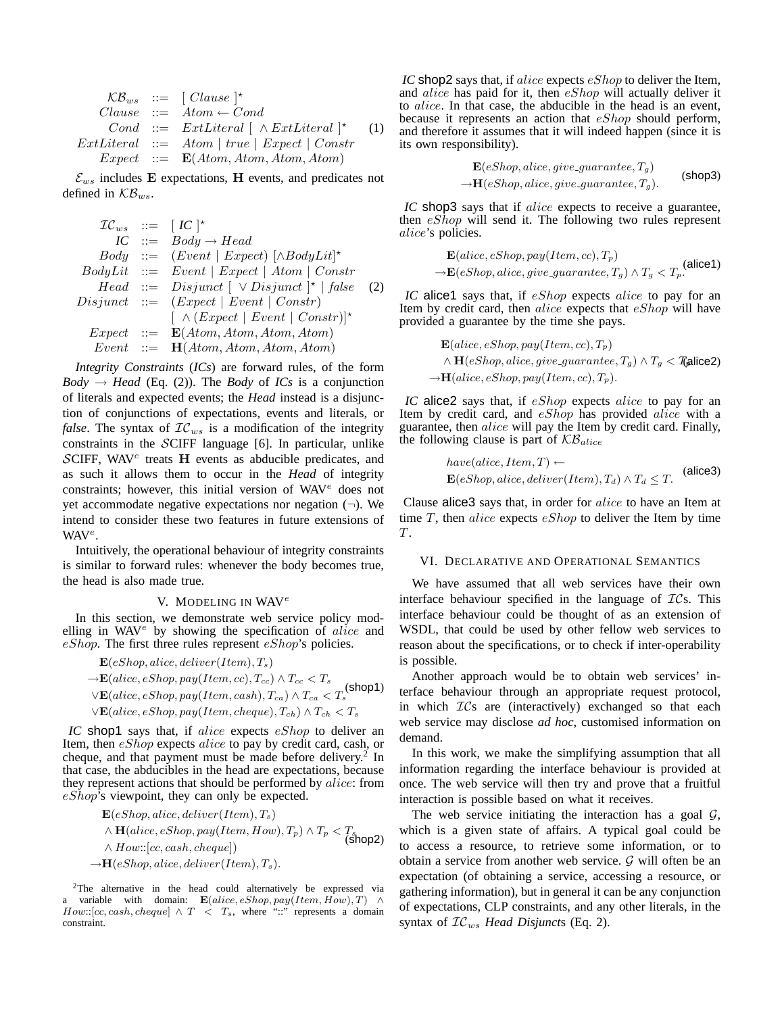$$
\mathcal{KB}_{ws} \ ::= \ [ \text{Clause } ]^{\star}
$$
\n
$$
\text{Clause } ::= \text{Atom} \leftarrow \text{Cond}
$$
\n
$$
\text{Cond } ::= \text{ExtLiteral } [ \land \text{ExtLiteral } ]^{\star} \quad (1)
$$
\n
$$
\text{ExtLiteral } ::= \text{Atom } | \text{ true } | \text{Expected } | \text{Const}
$$
\n
$$
\text{Expected } ::= \text{E}(\text{Atom}, \text{Atom}, \text{Atom}, \text{Atom})
$$

 $\mathcal{E}_{ws}$  includes E expectations, H events, and predicates not defined in  $\mathcal{KB}_{ws}$ .

$$
\begin{array}{rcl} \mathcal{IC}_{ws} & ::= & [IC]^* \\ IC & ::= & Body \rightarrow Head \\ Body & ::= & [Event \mid Expected) \mid \land BodyLit]^* \\ BodyLit & ::= & Event \mid Expert \mid Atom \mid Constr \\ Head & ::= & Disjunct \mid \lor Disjunct \mid^* \mid false \\ Disjunct & ::= & (Expected \mid Event \mid Constr) \\ & & \mid \land (Expected \mid Event \mid Constr) \mid^* \\ Expert & ::= & \mathbf{E}(Atom, Atom, Atom, Atom) \\ \hline Event & ::= & \mathbf{H}(Atom, Atom, Atom, Atom) \end{array}
$$

*Integrity Constraints* (*ICs*) are forward rules, of the form  $Body \rightarrow Head$  (Eq. (2)). The *Body* of *ICs* is a conjunction of literals and expected events; the *Head* instead is a disjunction of conjunctions of expectations, events and literals, or *false*. The syntax of  $IC_{ws}$  is a modification of the integrity constraints in the SCIFF language [6]. In particular, unlike  $SCIF$ , WAV<sup>e</sup> treats H events as abducible predicates, and as such it allows them to occur in the *Head* of integrity constraints; however, this initial version of WAV<sup>e</sup> does not yet accommodate negative expectations nor negation  $(\neg)$ . We intend to consider these two features in future extensions of WAV<sup>e</sup>.

Intuitively, the operational behaviour of integrity constraints is similar to forward rules: whenever the body becomes true, the head is also made true.

#### V. MODELING IN WAV<sup>e</sup>

In this section, we demonstrate web service policy modelling in  $WAV^e$  by showing the specification of *alice* and eShop. The first three rules represent  $eShop$ 's policies.

- $\mathbf{E}(eShop,alice, deliver(Item), T_s)$
- $\rightarrow$ **E**(alice, eShop, pay(Item, cc),  $T_{cc}$ )  $\land$   $T_{cc}$   $\lt$   $T_s$  $\forall E(alice, eShop, pay(Item, cash), T_{ca}) \land T_{ca} < T_s$ (shop1)  $\vee$ **E**(alice, eShop, pay(Item, cheque),  $T_{ch}$ )  $\wedge$   $T_{ch}$  <  $T_s$

*IC* shop1 says that, if alice expects eShop to deliver an Item, then eShop expects alice to pay by credit card, cash, or cheque, and that payment must be made before delivery.<sup>2</sup> In that case, the abducibles in the head are expectations, because they represent actions that should be performed by *alice*: from eShop's viewpoint, they can only be expected.

 $\mathbf{E}(eShop,alice, deliver(Item), T_s)$  $\land$  **H**(alice, eShop, pay(Item, How),  $T_p$ )  $\land$   $T_p$  <  $T_s$  (shop2)  $\wedge$  How::[cc, cash, cheque])  $\rightarrow$ **H**(eShop, alice, deliver(Item),  $T_s$ ).

<sup>2</sup>The alternative in the head could alternatively be expressed via a variable with domain:  $\mathbf{E}(alice, eShop, pay(Item, How), T) \wedge$  $How::[cc, cash, cheapue] \wedge T \langle T_s, where "::" represents a domain$ constraint.

*IC* shop2 says that, if *alice* expects *eShop* to deliver the Item, and *alice* has paid for it, then *eShop* will actually deliver it to alice. In that case, the abducible in the head is an event, because it represents an action that eShop should perform, and therefore it assumes that it will indeed happen (since it is its own responsibility).

$$
\mathbf{E}(eShop,alice, give\_guarantee, T_g)
$$
  
\n
$$
\rightarrow \mathbf{H}(eShop,alice, give\_guarantee, T_g).
$$
 (shop3)

*IC* shop3 says that if alice expects to receive a guarantee, then  $e\mathcal{S}hop$  will send it. The following two rules represent alice's policies.

$$
\mathbf{E}(alice, eShop, pay(Item, cc), T_p)
$$
  
\n
$$
\rightarrow \mathbf{E}(eShop, Alice, give\_guarantee, T_g) \land T_g < T_p.
$$
\n(alice1)

*IC* alice1 says that, if *eShop* expects *alice* to pay for an Item by credit card, then alice expects that  $eShop$  will have provided a guarantee by the time she pays.

$$
\mathbf{E}(alice, eShop, pay(Item, cc), T_p)
$$
  

$$
\wedge \mathbf{H}(eShop, Alice, give\_guarantee, T_g) \wedge T_g < \mathbf{T} \text{alice2})
$$
  

$$
\rightarrow \mathbf{H}(alice, eShop, pay(Item, cc), T_p).
$$

*IC* alice2 says that, if eShop expects alice to pay for an Item by credit card, and eShop has provided alice with a guarantee, then alice will pay the Item by credit card. Finally, the following clause is part of  $KB_{alice}$ 

have(alice, Item, T) 
$$
\leftarrow
$$
  
 $\mathbf{E}(eShop,alice, deliver(Item), T_d) \wedge T_d \leq T.$  (alice3)

Clause alice3 says that, in order for alice to have an Item at time  $T$ , then *alice* expects  $eShop$  to deliver the Item by time T.

#### VI. DECLARATIVE AND OPERATIONAL SEMANTICS

We have assumed that all web services have their own interface behaviour specified in the language of  $\mathcal{IC}s$ . This interface behaviour could be thought of as an extension of WSDL, that could be used by other fellow web services to reason about the specifications, or to check if inter-operability is possible.

Another approach would be to obtain web services' interface behaviour through an appropriate request protocol, in which  $TCs$  are (interactively) exchanged so that each web service may disclose *ad hoc*, customised information on demand.

In this work, we make the simplifying assumption that all information regarding the interface behaviour is provided at once. The web service will then try and prove that a fruitful interaction is possible based on what it receives.

The web service initiating the interaction has a goal  $G$ , which is a given state of affairs. A typical goal could be to access a resource, to retrieve some information, or to obtain a service from another web service.  $\mathcal G$  will often be an expectation (of obtaining a service, accessing a resource, or gathering information), but in general it can be any conjunction of expectations, CLP constraints, and any other literals, in the syntax of  $TC_{ws}$  *Head Disjuncts* (Eq. 2).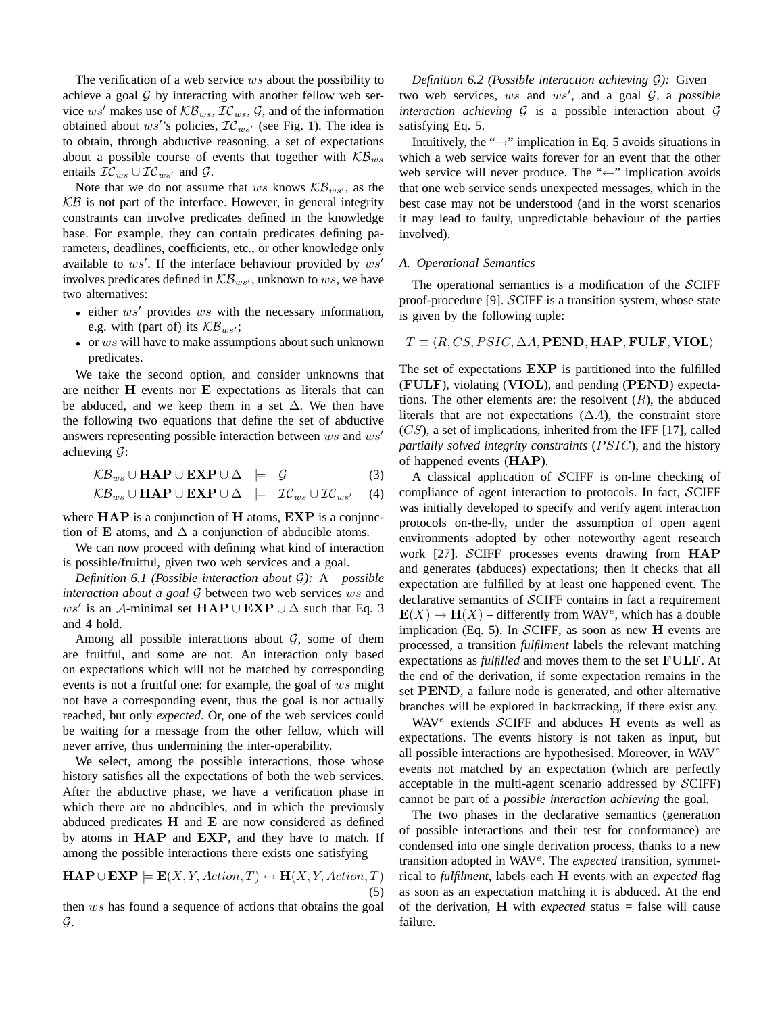The verification of a web service ws about the possibility to achieve a goal  $G$  by interacting with another fellow web service ws' makes use of  $\mathcal{KB}_{ws}$ ,  $\mathcal{IC}_{ws}$ ,  $\mathcal{G}$ , and of the information obtained about  $ws'$ 's policies,  $\mathcal{IC}_{ws'}$  (see Fig. 1). The idea is to obtain, through abductive reasoning, a set of expectations about a possible course of events that together with  $\mathcal{KB}_{ws}$ entails  $\mathcal{IC}_{ws} \cup \mathcal{IC}_{ws'}$  and  $\mathcal{G}$ .

Note that we do not assume that ws knows  $\mathcal{KB}_{ws'}$ , as the  $KB$  is not part of the interface. However, in general integrity constraints can involve predicates defined in the knowledge base. For example, they can contain predicates defining parameters, deadlines, coefficients, etc., or other knowledge only available to  $ws'$ . If the interface behaviour provided by  $ws'$ involves predicates defined in  $\mathcal{KB}_{ws'}$ , unknown to ws, we have two alternatives:

- either  $ws'$  provides  $ws$  with the necessary information, e.g. with (part of) its  $KB_{ws'}$ ;
- or ws will have to make assumptions about such unknown predicates.

We take the second option, and consider unknowns that are neither H events nor E expectations as literals that can be abduced, and we keep them in a set  $\Delta$ . We then have the following two equations that define the set of abductive answers representing possible interaction between  $ws$  and  $ws'$ achieving  $\mathcal{G}$ :

$$
\mathcal{KB}_{ws} \cup \textbf{HAP} \cup \textbf{EXP} \cup \Delta \models \mathcal{G} \tag{3}
$$

$$
\mathcal{KB}_{ws} \cup \textbf{HAP} \cup \textbf{EXP} \cup \Delta \models \mathcal{IC}_{ws} \cup \mathcal{IC}_{ws'} \quad (4)
$$

where  $HAP$  is a conjunction of  $H$  atoms,  $EXP$  is a conjunction of E atoms, and  $\Delta$  a conjunction of abducible atoms.

We can now proceed with defining what kind of interaction is possible/fruitful, given two web services and a goal.

*Definition 6.1 (Possible interaction about* G*):* A *possible interaction about a goal* G between two web services ws and ws' is an A-minimal set  $\textbf{HAP} \cup \textbf{EXP} \cup \Delta$  such that Eq. 3 and 4 hold.

Among all possible interactions about  $G$ , some of them are fruitful, and some are not. An interaction only based on expectations which will not be matched by corresponding events is not a fruitful one: for example, the goal of ws might not have a corresponding event, thus the goal is not actually reached, but only *expected*. Or, one of the web services could be waiting for a message from the other fellow, which will never arrive, thus undermining the inter-operability.

We select, among the possible interactions, those whose history satisfies all the expectations of both the web services. After the abductive phase, we have a verification phase in which there are no abducibles, and in which the previously abduced predicates H and E are now considered as defined by atoms in HAP and EXP, and they have to match. If among the possible interactions there exists one satisfying

$$
\mathbf{HAP} \cup \mathbf{EXP} \models \mathbf{E}(X, Y, Action, T) \leftrightarrow \mathbf{H}(X, Y, Action, T)
$$
\n(5)

then ws has found a sequence of actions that obtains the goal G.

*Definition 6.2 (Possible interaction achieving* G*):* Given two web services,  $ws$  and  $ws'$ , and a goal  $G$ , a *possible interaction achieving*  $G$  is a possible interaction about  $G$ satisfying Eq. 5.

Intuitively, the " $\rightarrow$ " implication in Eq. 5 avoids situations in which a web service waits forever for an event that the other web service will never produce. The "←" implication avoids that one web service sends unexpected messages, which in the best case may not be understood (and in the worst scenarios it may lead to faulty, unpredictable behaviour of the parties involved).

## *A. Operational Semantics*

The operational semantics is a modification of the SCIFF proof-procedure [9]. SCIFF is a transition system, whose state is given by the following tuple:

## $T \equiv \langle R, CS, PSIC, \Delta A, \text{PEND}, \text{HAP}, \text{FULE}, \text{VIOL} \rangle$

The set of expectations EXP is partitioned into the fulfilled (FULF), violating (VIOL), and pending (PEND) expectations. The other elements are: the resolvent  $(R)$ , the abduced literals that are not expectations  $(\Delta A)$ , the constraint store  $(CS)$ , a set of implications, inherited from the IFF [17], called *partially solved integrity constraints* (*PSIC*), and the history of happened events (HAP).

A classical application of SCIFF is on-line checking of compliance of agent interaction to protocols. In fact, SCIFF was initially developed to specify and verify agent interaction protocols on-the-fly, under the assumption of open agent environments adopted by other noteworthy agent research work [27]. SCIFF processes events drawing from HAP and generates (abduces) expectations; then it checks that all expectation are fulfilled by at least one happened event. The declarative semantics of SCIFF contains in fact a requirement  $\mathbf{E}(X) \to \mathbf{H}(X)$  – differently from WAV<sup>e</sup>, which has a double implication (Eq. 5). In SCIFF, as soon as new  $H$  events are processed, a transition *fulfilment* labels the relevant matching expectations as *fulfilled* and moves them to the set FULF. At the end of the derivation, if some expectation remains in the set PEND, a failure node is generated, and other alternative branches will be explored in backtracking, if there exist any.

WAV<sup>e</sup> extends SCIFF and abduces H events as well as expectations. The events history is not taken as input, but all possible interactions are hypothesised. Moreover, in  $WAV^e$ events not matched by an expectation (which are perfectly acceptable in the multi-agent scenario addressed by SCIFF) cannot be part of a *possible interaction achieving* the goal.

The two phases in the declarative semantics (generation of possible interactions and their test for conformance) are condensed into one single derivation process, thanks to a new transition adopted in WAV<sup>e</sup>. The *expected* transition, symmetrical to *fulfilment*, labels each H events with an *expected* flag as soon as an expectation matching it is abduced. At the end of the derivation, H with *expected* status = false will cause failure.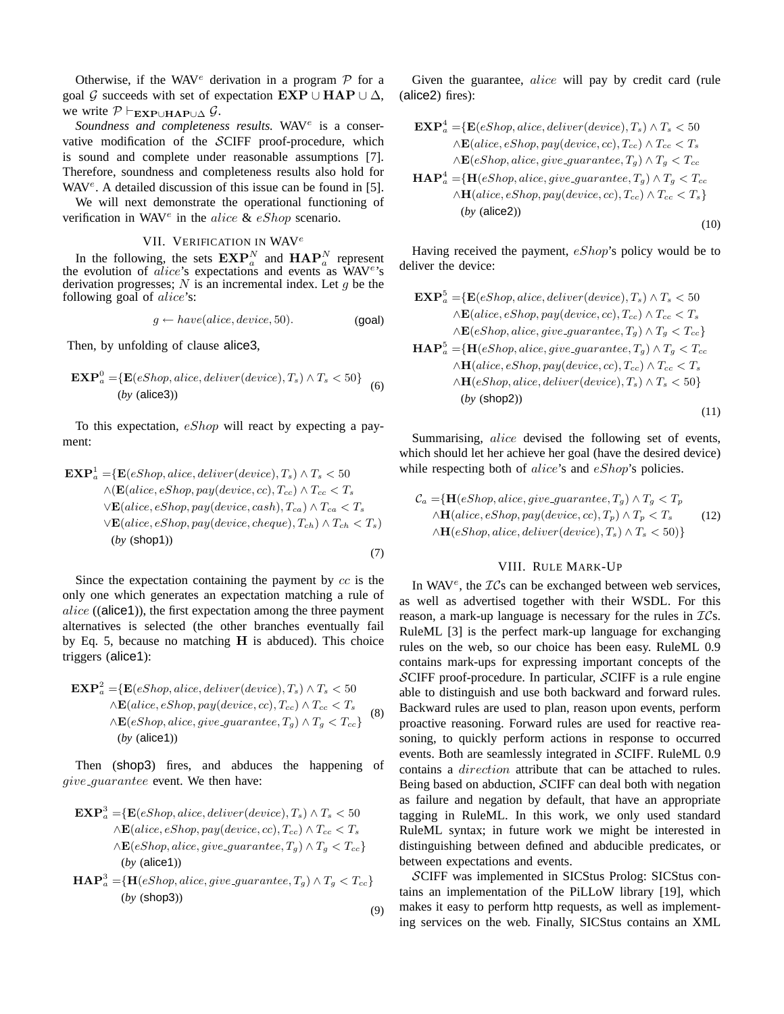Otherwise, if the WAV<sup>e</sup> derivation in a program  $P$  for a goal G succeeds with set of expectation  $\mathbf{EXP} \cup \mathbf{HAP} \cup \Delta$ , we write  $P \vdash_{\mathbf{EXP} \cup \mathbf{HAP} \cup \Delta} \mathcal{G}$ .

Soundness and completeness results. WAV<sup>e</sup> is a conservative modification of the SCIFF proof-procedure, which is sound and complete under reasonable assumptions [7]. Therefore, soundness and completeness results also hold for WAV<sup>e</sup>. A detailed discussion of this issue can be found in [5].

We will next demonstrate the operational functioning of verification in WAV<sup>e</sup> in the alice &  $eShop$  scenario.

## VII. VERIFICATION IN WAV<sup>e</sup>

In the following, the sets  $\mathbf{EXP}_{a}^{N}$  and  $\mathbf{HAP}_{a}^{N}$  represent the evolution of *alice*'s expectations and events as  $\dot{W}AV^e$ 's derivation progresses;  $N$  is an incremental index. Let  $q$  be the following goal of *alice*'s:

$$
g \leftarrow have(alice, device, 50). \tag{goal}
$$

Then, by unfolding of clause alice3,

$$
\mathbf{EXP}_{a}^{0} = \{ \mathbf{E}(eShop, \text{alice}, \text{deliver}(device), T_s) \land T_s < 50 \}
$$
\n(by (alice3))

To this expectation, eShop will react by expecting a payment:

$$
\mathbf{EXP}_{a}^{1} = \{ \mathbf{E}(eShop, Alice, deliver(device), T_{s}) \land T_{s} < 50
$$
\n
$$
\land (\mathbf{E}(alice, eShop, pay(device, cc), T_{cc}) \land T_{cc} < T_{s}
$$
\n
$$
\lor \mathbf{E}(alice, eShop, pay(device, cash), T_{ca}) \land T_{ca} < T_{s}
$$
\n
$$
\lor \mathbf{E}(alice, eShop, pay(device, cheap), T_{ch}) \land T_{ch} < T_{s})
$$
\n
$$
(by (\text{shop1})) \tag{7}
$$

Since the expectation containing the payment by cc is the only one which generates an expectation matching a rule of  $alice$  ((alice1)), the first expectation among the three payment alternatives is selected (the other branches eventually fail by Eq. 5, because no matching  $H$  is abduced). This choice triggers (alice1):

 $\mathbf{EXP}_{a}^{2} = \{ \mathbf{E}(eShop,alice, deliver(device), T_{s}) \wedge T_{s} < 50$  $\wedge$ **E**(alice, eShop, pay(device, cc),  $T_{cc}$ )  $\wedge$   $T_{cc}$  <  $T_s$  $∧\mathbf{E}(eShop,alice, give\_guarantee, T_g) ∧ T_g < T_{cc}$ (*by* (alice1)) (8)

Then (shop3) fires, and abduces the happening of give\_guarantee event. We then have:

- $\mathbf{EXP}_{a}^{3}=\{ \mathbf{E}(eShop,alice, deliver(device), T_{s}) \wedge T_{s} < 50$  $\wedge$ **E**(alice, eShop, pay(device, cc),  $T_{cc}$ )  $\wedge$   $T_{cc}$  <  $T_s$  $\wedge \mathbf{E}(eShop,alice, give\_guarantee, T_g) \wedge T_g < T_{cc}$ (*by* (alice1))
- $\mathbf{HAP}^3_a = \{ \mathbf{H}(eShop,alice, give\_guarantee, T_g) \wedge T_g < T_{cc} \}$ (*by* (shop3)) (9)

Given the guarantee, *alice* will pay by credit card (rule (alice2) fires):

$$
\mathbf{EXP}_{a}^{4} = \{ \mathbf{E}(eShop,alice, deliver(device), T_{s}) \land T_{s} < 50
$$
  
\n
$$
\land \mathbf{E}(alice, eShop, pay(device, cc), T_{cc}) \land T_{cc} < T_{s}
$$
  
\n
$$
\land \mathbf{E}(eShop,alice, give\_guarante, T_{g}) \land T_{g} < T_{cc}
$$
  
\n
$$
\mathbf{HAP}_{a}^{4} = \{ \mathbf{H}(eShop,alice, give\_guarante, T_{g}) \land T_{g} < T_{cc}
$$
  
\n
$$
\land \mathbf{H}(alice, eShop, pay(device, cc), T_{cc}) \land T_{cc} < T_{s} \}
$$
  
\n
$$
(by (alice2))
$$
  
\n(10)

Having received the payment,  $eShop's$  policy would be to deliver the device:

$$
\mathbf{EXP}_{a}^{5} = \{ \mathbf{E}(eShop, Alice, deliver(device), T_{s}) \land T_{s} < 50
$$
  
\n
$$
\land \mathbf{E}(alice, eShop, pay(device, cc), T_{cc}) \land T_{cc} < T_{s}
$$
  
\n
$$
\land \mathbf{E}(eShop, Alice, give\_guarante, T_{g}) \land T_{g} < T_{cc}
$$
  
\n
$$
\mathbf{HAP}_{a}^{5} = \{ \mathbf{H}(eShop, Alice, give\_guarante, T_{g}) \land T_{g} < T_{cc}
$$
  
\n
$$
\land \mathbf{H}(alice, eShop, pay(device, cc), T_{cc}) \land T_{cc} < T_{s}
$$
  
\n
$$
\land \mathbf{H}(eShop, Alice, deliver(device), T_{s}) \land T_{s} < 50 \}
$$
  
\n
$$
(by (shop2))
$$
  
\n(11)

Summarising, *alice* devised the following set of events, which should let her achieve her goal (have the desired device) while respecting both of *alice*'s and *eShop*'s policies.

$$
C_a = \{ \mathbf{H}(eShop,alice, give\_guarante, T_g) \land T_g < T_p \land \mathbf{H}(alice, eShop, pay(device, cc), T_p) \land T_p < T_s \land \mathbf{H}(eShop,alice, deliver(device), T_s) \land T_s < 50) \}
$$
\n
$$
(12)
$$

## VIII. RULE MARK-UP

In WAV<sup>e</sup>, the  $TCs$  can be exchanged between web services, as well as advertised together with their WSDL. For this reason, a mark-up language is necessary for the rules in  $TCs$ . RuleML [3] is the perfect mark-up language for exchanging rules on the web, so our choice has been easy. RuleML 0.9 contains mark-ups for expressing important concepts of the SCIFF proof-procedure. In particular, SCIFF is a rule engine able to distinguish and use both backward and forward rules. Backward rules are used to plan, reason upon events, perform proactive reasoning. Forward rules are used for reactive reasoning, to quickly perform actions in response to occurred events. Both are seamlessly integrated in SCIFF. RuleML 0.9 contains a direction attribute that can be attached to rules. Being based on abduction, SCIFF can deal both with negation as failure and negation by default, that have an appropriate tagging in RuleML. In this work, we only used standard RuleML syntax; in future work we might be interested in distinguishing between defined and abducible predicates, or between expectations and events.

SCIFF was implemented in SICStus Prolog: SICStus contains an implementation of the PiLLoW library [19], which makes it easy to perform http requests, as well as implementing services on the web. Finally, SICStus contains an XML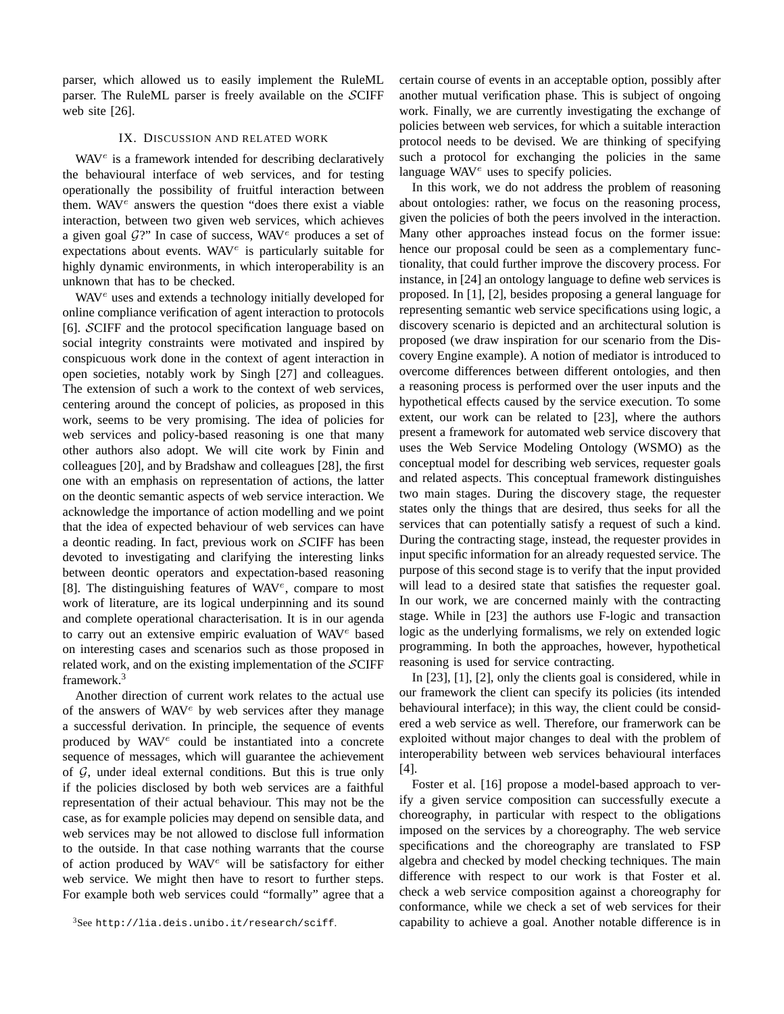parser, which allowed us to easily implement the RuleML parser. The RuleML parser is freely available on the SCIFF web site [26].

## IX. DISCUSSION AND RELATED WORK

WAV<sup>e</sup> is a framework intended for describing declaratively the behavioural interface of web services, and for testing operationally the possibility of fruitful interaction between them. WAV $^e$  answers the question "does there exist a viable interaction, between two given web services, which achieves a given goal  $\mathcal{G}$ ?" In case of success, WAV<sup>e</sup> produces a set of expectations about events. WAV $^e$  is particularly suitable for highly dynamic environments, in which interoperability is an unknown that has to be checked.

 $WAV<sup>e</sup>$  uses and extends a technology initially developed for online compliance verification of agent interaction to protocols [6]. SCIFF and the protocol specification language based on social integrity constraints were motivated and inspired by conspicuous work done in the context of agent interaction in open societies, notably work by Singh [27] and colleagues. The extension of such a work to the context of web services, centering around the concept of policies, as proposed in this work, seems to be very promising. The idea of policies for web services and policy-based reasoning is one that many other authors also adopt. We will cite work by Finin and colleagues [20], and by Bradshaw and colleagues [28], the first one with an emphasis on representation of actions, the latter on the deontic semantic aspects of web service interaction. We acknowledge the importance of action modelling and we point that the idea of expected behaviour of web services can have a deontic reading. In fact, previous work on SCIFF has been devoted to investigating and clarifying the interesting links between deontic operators and expectation-based reasoning [8]. The distinguishing features of  $WAV<sup>e</sup>$ , compare to most work of literature, are its logical underpinning and its sound and complete operational characterisation. It is in our agenda to carry out an extensive empiric evaluation of WAV<sup>e</sup> based on interesting cases and scenarios such as those proposed in related work, and on the existing implementation of the SCIFF framework.<sup>3</sup>

Another direction of current work relates to the actual use of the answers of  $WAV<sup>e</sup>$  by web services after they manage a successful derivation. In principle, the sequence of events produced by WAV<sup>e</sup> could be instantiated into a concrete sequence of messages, which will guarantee the achievement of  $G$ , under ideal external conditions. But this is true only if the policies disclosed by both web services are a faithful representation of their actual behaviour. This may not be the case, as for example policies may depend on sensible data, and web services may be not allowed to disclose full information to the outside. In that case nothing warrants that the course of action produced by  $WAV^e$  will be satisfactory for either web service. We might then have to resort to further steps. For example both web services could "formally" agree that a certain course of events in an acceptable option, possibly after another mutual verification phase. This is subject of ongoing work. Finally, we are currently investigating the exchange of policies between web services, for which a suitable interaction protocol needs to be devised. We are thinking of specifying such a protocol for exchanging the policies in the same language  $WAV<sup>e</sup>$  uses to specify policies.

In this work, we do not address the problem of reasoning about ontologies: rather, we focus on the reasoning process, given the policies of both the peers involved in the interaction. Many other approaches instead focus on the former issue: hence our proposal could be seen as a complementary functionality, that could further improve the discovery process. For instance, in [24] an ontology language to define web services is proposed. In [1], [2], besides proposing a general language for representing semantic web service specifications using logic, a discovery scenario is depicted and an architectural solution is proposed (we draw inspiration for our scenario from the Discovery Engine example). A notion of mediator is introduced to overcome differences between different ontologies, and then a reasoning process is performed over the user inputs and the hypothetical effects caused by the service execution. To some extent, our work can be related to [23], where the authors present a framework for automated web service discovery that uses the Web Service Modeling Ontology (WSMO) as the conceptual model for describing web services, requester goals and related aspects. This conceptual framework distinguishes two main stages. During the discovery stage, the requester states only the things that are desired, thus seeks for all the services that can potentially satisfy a request of such a kind. During the contracting stage, instead, the requester provides in input specific information for an already requested service. The purpose of this second stage is to verify that the input provided will lead to a desired state that satisfies the requester goal. In our work, we are concerned mainly with the contracting stage. While in [23] the authors use F-logic and transaction logic as the underlying formalisms, we rely on extended logic programming. In both the approaches, however, hypothetical reasoning is used for service contracting.

In [23], [1], [2], only the clients goal is considered, while in our framework the client can specify its policies (its intended behavioural interface); in this way, the client could be considered a web service as well. Therefore, our framerwork can be exploited without major changes to deal with the problem of interoperability between web services behavioural interfaces [4].

Foster et al. [16] propose a model-based approach to verify a given service composition can successfully execute a choreography, in particular with respect to the obligations imposed on the services by a choreography. The web service specifications and the choreography are translated to FSP algebra and checked by model checking techniques. The main difference with respect to our work is that Foster et al. check a web service composition against a choreography for conformance, while we check a set of web services for their capability to achieve a goal. Another notable difference is in

<sup>3</sup>See http://lia.deis.unibo.it/research/sciff.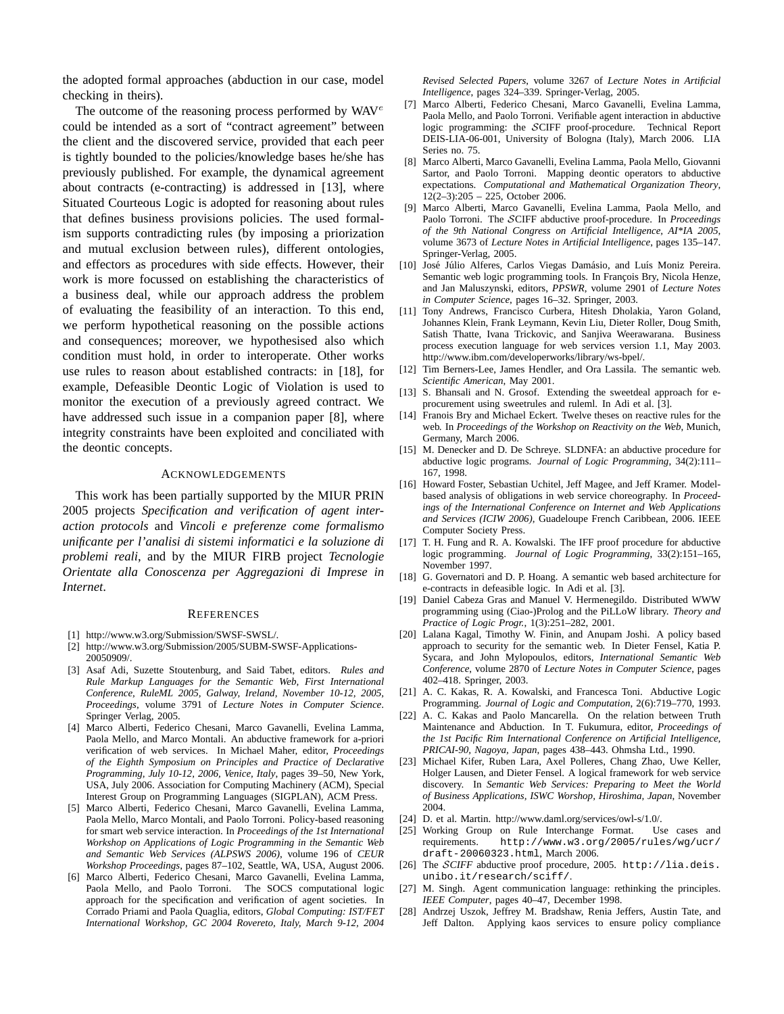the adopted formal approaches (abduction in our case, model checking in theirs).

The outcome of the reasoning process performed by  $WAV^e$ could be intended as a sort of "contract agreement" between the client and the discovered service, provided that each peer is tightly bounded to the policies/knowledge bases he/she has previously published. For example, the dynamical agreement about contracts (e-contracting) is addressed in [13], where Situated Courteous Logic is adopted for reasoning about rules that defines business provisions policies. The used formalism supports contradicting rules (by imposing a priorization and mutual exclusion between rules), different ontologies, and effectors as procedures with side effects. However, their work is more focussed on establishing the characteristics of a business deal, while our approach address the problem of evaluating the feasibility of an interaction. To this end, we perform hypothetical reasoning on the possible actions and consequences; moreover, we hypothesised also which condition must hold, in order to interoperate. Other works use rules to reason about established contracts: in [18], for example, Defeasible Deontic Logic of Violation is used to monitor the execution of a previously agreed contract. We have addressed such issue in a companion paper [8], where integrity constraints have been exploited and conciliated with the deontic concepts.

## **ACKNOWLEDGEMENTS**

This work has been partially supported by the MIUR PRIN 2005 projects *Specification and verification of agent interaction protocols* and *Vincoli e preferenze come formalismo unificante per l'analisi di sistemi informatici e la soluzione di problemi reali*, and by the MIUR FIRB project *Tecnologie Orientate alla Conoscenza per Aggregazioni di Imprese in Internet*.

#### **REFERENCES**

- [1] http://www.w3.org/Submission/SWSF-SWSL/.
- [2] http://www.w3.org/Submission/2005/SUBM-SWSF-Applications-20050909/.
- [3] Asaf Adi, Suzette Stoutenburg, and Said Tabet, editors. *Rules and Rule Markup Languages for the Semantic Web, First International Conference, RuleML 2005, Galway, Ireland, November 10-12, 2005, Proceedings*, volume 3791 of *Lecture Notes in Computer Science*. Springer Verlag, 2005.
- [4] Marco Alberti, Federico Chesani, Marco Gavanelli, Evelina Lamma, Paola Mello, and Marco Montali. An abductive framework for a-priori verification of web services. In Michael Maher, editor, *Proceedings of the Eighth Symposium on Principles and Practice of Declarative Programming, July 10-12, 2006, Venice, Italy*, pages 39–50, New York, USA, July 2006. Association for Computing Machinery (ACM), Special Interest Group on Programming Languages (SIGPLAN), ACM Press.
- [5] Marco Alberti, Federico Chesani, Marco Gavanelli, Evelina Lamma, Paola Mello, Marco Montali, and Paolo Torroni. Policy-based reasoning for smart web service interaction. In *Proceedings of the 1st International Workshop on Applications of Logic Programming in the Semantic Web and Semantic Web Services (ALPSWS 2006)*, volume 196 of *CEUR Workshop Proceedings*, pages 87–102, Seattle, WA, USA, August 2006.
- [6] Marco Alberti, Federico Chesani, Marco Gavanelli, Evelina Lamma, Paola Mello, and Paolo Torroni. The SOCS computational logic approach for the specification and verification of agent societies. In Corrado Priami and Paola Quaglia, editors, *Global Computing: IST/FET International Workshop, GC 2004 Rovereto, Italy, March 9-12, 2004*

*Revised Selected Papers*, volume 3267 of *Lecture Notes in Artificial Intelligence*, pages 324–339. Springer-Verlag, 2005.

- [7] Marco Alberti, Federico Chesani, Marco Gavanelli, Evelina Lamma, Paola Mello, and Paolo Torroni. Verifiable agent interaction in abductive logic programming: the SCIFF proof-procedure. Technical Report DEIS-LIA-06-001, University of Bologna (Italy), March 2006. LIA Series no. 75.
- [8] Marco Alberti, Marco Gavanelli, Evelina Lamma, Paola Mello, Giovanni Sartor, and Paolo Torroni. Mapping deontic operators to abductive expectations. *Computational and Mathematical Organization Theory*, 12(2–3):205 – 225, October 2006.
- [9] Marco Alberti, Marco Gavanelli, Evelina Lamma, Paola Mello, and Paolo Torroni. The SCIFF abductive proof-procedure. In *Proceedings of the 9th National Congress on Artificial Intelligence, AI\*IA 2005*, volume 3673 of *Lecture Notes in Artificial Intelligence*, pages 135–147. Springer-Verlag, 2005.
- [10] José Júlio Alferes, Carlos Viegas Damásio, and Luís Moniz Pereira. Semantic web logic programming tools. In François Bry, Nicola Henze, and Jan Maluszynski, editors, *PPSWR*, volume 2901 of *Lecture Notes in Computer Science*, pages 16–32. Springer, 2003.
- [11] Tony Andrews, Francisco Curbera, Hitesh Dholakia, Yaron Goland, Johannes Klein, Frank Leymann, Kevin Liu, Dieter Roller, Doug Smith, Satish Thatte, Ivana Trickovic, and Sanjiva Weerawarana. Business process execution language for web services version 1.1, May 2003. http://www.ibm.com/developerworks/library/ws-bpel/.
- [12] Tim Berners-Lee, James Hendler, and Ora Lassila. The semantic web. *Scientific American*, May 2001.
- [13] S. Bhansali and N. Grosof. Extending the sweetdeal approach for eprocurement using sweetrules and ruleml. In Adi et al. [3].
- [14] Franois Bry and Michael Eckert. Twelve theses on reactive rules for the web. In *Proceedings of the Workshop on Reactivity on the Web*, Munich, Germany, March 2006.
- [15] M. Denecker and D. De Schreye. SLDNFA: an abductive procedure for abductive logic programs. *Journal of Logic Programming*, 34(2):111– 167, 1998.
- [16] Howard Foster, Sebastian Uchitel, Jeff Magee, and Jeff Kramer. Modelbased analysis of obligations in web service choreography. In *Proceedings of the International Conference on Internet and Web Applications and Services (ICIW 2006)*, Guadeloupe French Caribbean, 2006. IEEE Computer Society Press.
- [17] T. H. Fung and R. A. Kowalski. The IFF proof procedure for abductive logic programming. *Journal of Logic Programming*, 33(2):151–165, November 1997.
- [18] G. Governatori and D. P. Hoang. A semantic web based architecture for e-contracts in defeasible logic. In Adi et al. [3].
- [19] Daniel Cabeza Gras and Manuel V. Hermenegildo. Distributed WWW programming using (Ciao-)Prolog and the PiLLoW library. *Theory and Practice of Logic Progr.*, 1(3):251–282, 2001.
- [20] Lalana Kagal, Timothy W. Finin, and Anupam Joshi. A policy based approach to security for the semantic web. In Dieter Fensel, Katia P. Sycara, and John Mylopoulos, editors, *International Semantic Web Conference*, volume 2870 of *Lecture Notes in Computer Science*, pages 402–418. Springer, 2003.
- [21] A. C. Kakas, R. A. Kowalski, and Francesca Toni. Abductive Logic Programming. *Journal of Logic and Computation*, 2(6):719–770, 1993.
- [22] A. C. Kakas and Paolo Mancarella. On the relation between Truth Maintenance and Abduction. In T. Fukumura, editor, *Proceedings of the 1st Pacific Rim International Conference on Artificial Intelligence, PRICAI-90, Nagoya, Japan*, pages 438–443. Ohmsha Ltd., 1990.
- [23] Michael Kifer, Ruben Lara, Axel Polleres, Chang Zhao, Uwe Keller, Holger Lausen, and Dieter Fensel. A logical framework for web service discovery. In *Semantic Web Services: Preparing to Meet the World of Business Applications, ISWC Worshop, Hiroshima, Japan*, November 2004.
- [24] D. et al. Martin. http://www.daml.org/services/owl-s/1.0/.
- [25] Working Group on Rule Interchange Format. Use cases and requirements. http://www.w3.org/2005/rules/wg/ucr/ draft-20060323.html, March 2006.
- [26] The S*CIFF* abductive proof procedure, 2005. http://lia.deis. unibo.it/research/sciff/.
- [27] M. Singh. Agent communication language: rethinking the principles. *IEEE Computer*, pages 40–47, December 1998.
- [28] Andrzej Uszok, Jeffrey M. Bradshaw, Renia Jeffers, Austin Tate, and Jeff Dalton. Applying kaos services to ensure policy compliance